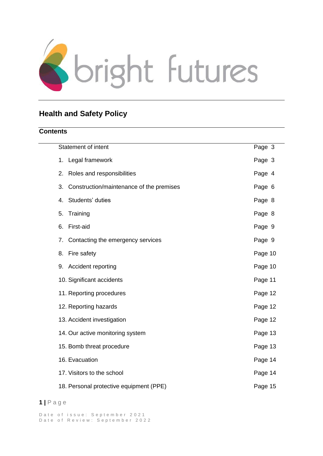

# **Health and Safety Policy**

# **Contents**

| <b>Statement of intent</b>                     | Page 3  |
|------------------------------------------------|---------|
| Legal framework<br>1.                          | Page 3  |
| Roles and responsibilities<br>2.               | Page 4  |
| Construction/maintenance of the premises<br>3. | Page 6  |
| Students' duties<br>4.                         | Page 8  |
| Training<br>5.                                 | Page 8  |
| First-aid<br>6.                                | Page 9  |
| Contacting the emergency services<br>7.        | Page 9  |
| Fire safety<br>8.                              | Page 10 |
| Accident reporting<br>9.                       | Page 10 |
| 10. Significant accidents                      | Page 11 |
| 11. Reporting procedures                       | Page 12 |
| 12. Reporting hazards                          | Page 12 |
| 13. Accident investigation                     | Page 12 |
| 14. Our active monitoring system               | Page 13 |
| 15. Bomb threat procedure                      | Page 13 |
| 16. Evacuation                                 | Page 14 |
| 17. Visitors to the school                     | Page 14 |
| 18. Personal protective equipment (PPE)        | Page 15 |

# **1 |** P a g e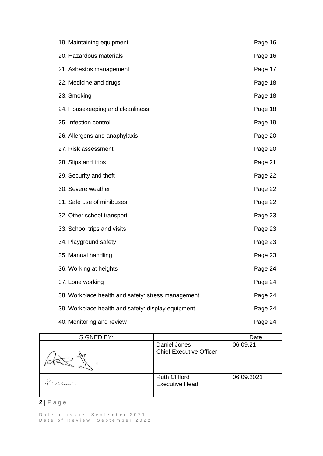| 19. Maintaining equipment                          | Page 16 |
|----------------------------------------------------|---------|
| 20. Hazardous materials                            | Page 16 |
| 21. Asbestos management                            | Page 17 |
| 22. Medicine and drugs                             | Page 18 |
| 23. Smoking                                        | Page 18 |
| 24. Housekeeping and cleanliness                   | Page 18 |
| 25. Infection control                              | Page 19 |
| 26. Allergens and anaphylaxis                      | Page 20 |
| 27. Risk assessment                                | Page 20 |
| 28. Slips and trips                                | Page 21 |
| 29. Security and theft                             | Page 22 |
| 30. Severe weather                                 | Page 22 |
| 31. Safe use of minibuses                          | Page 22 |
| 32. Other school transport                         | Page 23 |
| 33. School trips and visits                        | Page 23 |
| 34. Playground safety                              | Page 23 |
| 35. Manual handling                                | Page 23 |
| 36. Working at heights                             | Page 24 |
| 37. Lone working                                   | Page 24 |
| 38. Workplace health and safety: stress management | Page 24 |
| 39. Workplace health and safety: display equipment | Page 24 |
| 40. Monitoring and review                          | Page 24 |

| SIGNED BY: |                                                | Date       |
|------------|------------------------------------------------|------------|
|            | Daniel Jones<br><b>Chief Executive Officer</b> | 06.09.21   |
|            | <b>Ruth Clifford</b><br><b>Executive Head</b>  | 06.09.2021 |

# **2 |** P a g e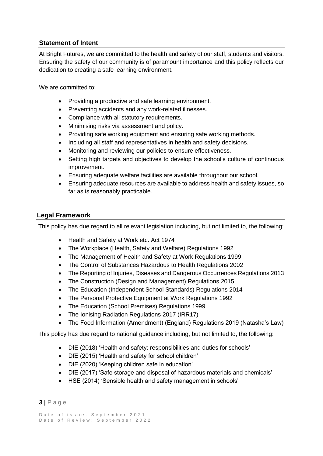# <span id="page-2-0"></span>**Statement of Intent**

At Bright Futures, we are committed to the health and safety of our staff, students and visitors. Ensuring the safety of our community is of paramount importance and this policy reflects our dedication to creating a safe learning environment.

We are committed to:

- Providing a productive and safe learning environment.
- Preventing accidents and any work-related illnesses.
- Compliance with all statutory requirements.
- Minimising risks via assessment and policy.
- Providing safe working equipment and ensuring safe working methods.
- Including all staff and representatives in health and safety decisions.
- Monitoring and reviewing our policies to ensure effectiveness.
- Setting high targets and objectives to develop the school's culture of continuous improvement.
- Ensuring adequate welfare facilities are available throughout our school.
- Ensuring adequate resources are available to address health and safety issues, so far as is reasonably practicable.

# **Legal Framework**

<span id="page-2-1"></span>This policy has due regard to all relevant legislation including, but not limited to, the following:

- Health and Safety at Work etc. Act 1974
- The Workplace (Health, Safety and Welfare) Regulations 1992
- The Management of Health and Safety at Work Regulations 1999
- The Control of Substances Hazardous to Health Regulations 2002
- The Reporting of Injuries, Diseases and Dangerous Occurrences Regulations 2013
- The Construction (Design and Management) Regulations 2015
- The Education (Independent School Standards) Regulations 2014
- The Personal Protective Equipment at Work Regulations 1992
- The Education (School Premises) Regulations 1999
- The Ionising Radiation Regulations 2017 (IRR17)
- The Food Information (Amendment) (England) Regulations 2019 (Natasha's Law)

This policy has due regard to national guidance including, but not limited to, the following:

- DfE (2018) 'Health and safety: responsibilities and duties for schools'
- DfE (2015) 'Health and safety for school children'
- DfE (2020) 'Keeping children safe in education'
- DfE (2017) 'Safe storage and disposal of hazardous materials and chemicals'
- HSE (2014) 'Sensible health and safety management in schools'

# **3 |** P a g e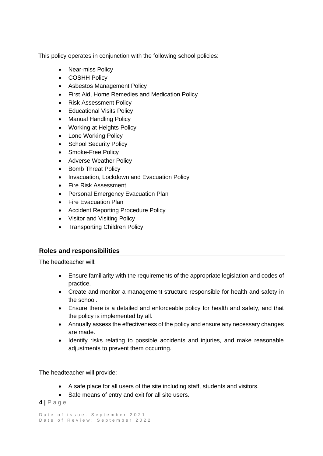This policy operates in conjunction with the following school policies:

- Near-miss Policy
- COSHH Policy
- Asbestos Management Policy
- First Aid, Home Remedies and Medication Policy
- Risk Assessment Policy
- Educational Visits Policy
- Manual Handling Policy
- Working at Heights Policy
- Lone Working Policy
- School Security Policy
- Smoke-Free Policy
- Adverse Weather Policy
- Bomb Threat Policy
- Invacuation, Lockdown and Evacuation Policy
- Fire Risk Assessment
- Personal Emergency Evacuation Plan
- Fire Evacuation Plan
- Accident Reporting Procedure Policy
- Visitor and Visiting Policy
- Transporting Children Policy

# <span id="page-3-0"></span>**Roles and responsibilities**

The headteacher will:

- Ensure familiarity with the requirements of the appropriate legislation and codes of practice.
- Create and monitor a management structure responsible for health and safety in the school.
- Ensure there is a detailed and enforceable policy for health and safety, and that the policy is implemented by all.
- Annually assess the effectiveness of the policy and ensure any necessary changes are made.
- Identify risks relating to possible accidents and injuries, and make reasonable adjustments to prevent them occurring.

The headteacher will provide:

- A safe place for all users of the site including staff, students and visitors.
- Safe means of entry and exit for all site users.

**4 |** P a g e

```
Date of issue: September 2021
Date of Review: September 2022
```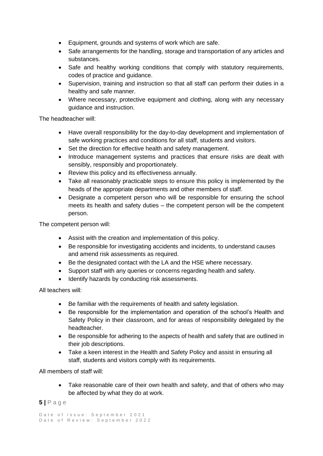- Equipment, grounds and systems of work which are safe.
- Safe arrangements for the handling, storage and transportation of any articles and substances.
- Safe and healthy working conditions that comply with statutory requirements, codes of practice and guidance.
- Supervision, training and instruction so that all staff can perform their duties in a healthy and safe manner.
- Where necessary, protective equipment and clothing, along with any necessary guidance and instruction.

The headteacher will:

- Have overall responsibility for the day-to-day development and implementation of safe working practices and conditions for all staff, students and visitors.
- Set the direction for effective health and safety management.
- Introduce management systems and practices that ensure risks are dealt with sensibly, responsibly and proportionately.
- Review this policy and its effectiveness annually.
- Take all reasonably practicable steps to ensure this policy is implemented by the heads of the appropriate departments and other members of staff.
- Designate a competent person who will be responsible for ensuring the school meets its health and safety duties – the competent person will be the competent person.

The competent person will:

- Assist with the creation and implementation of this policy.
- Be responsible for investigating accidents and incidents, to understand causes and amend risk assessments as required.
- Be the designated contact with the LA and the HSE where necessary.
- Support staff with any queries or concerns regarding health and safety.
- Identify hazards by conducting risk assessments.

All teachers will:

- Be familiar with the requirements of health and safety legislation.
- Be responsible for the implementation and operation of the school's Health and Safety Policy in their classroom, and for areas of responsibility delegated by the headteacher.
- Be responsible for adhering to the aspects of health and safety that are outlined in their job descriptions.
- Take a keen interest in the Health and Safety Policy and assist in ensuring all staff, students and visitors comply with its requirements.

All members of staff will:

• Take reasonable care of their own health and safety, and that of others who may be affected by what they do at work.

# **5 |** P a g e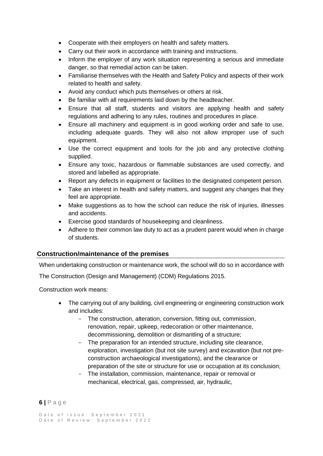- Cooperate with their employers on health and safety matters.
- Carry out their work in accordance with training and instructions.
- Inform the employer of any work situation representing a serious and immediate danger, so that remedial action can be taken.
- Familiarise themselves with the Health and Safety Policy and aspects of their work related to health and safety.
- Avoid any conduct which puts themselves or others at risk.
- Be familiar with all requirements laid down by the headteacher.
- Ensure that all staff, students and visitors are applying health and safety regulations and adhering to any rules, routines and procedures in place.
- Ensure all machinery and equipment is in good working order and safe to use, including adequate guards. They will also not allow improper use of such equipment.
- Use the correct equipment and tools for the job and any protective clothing supplied.
- Ensure any toxic, hazardous or flammable substances are used correctly, and stored and labelled as appropriate.
- Report any defects in equipment or facilities to the designated competent person.
- Take an interest in health and safety matters, and suggest any changes that they feel are appropriate.
- Make suggestions as to how the school can reduce the risk of injuries, illnesses and accidents.
- Exercise good standards of housekeeping and cleanliness.
- Adhere to their common law duty to act as a prudent parent would when in charge of students.

# <span id="page-5-0"></span>**Construction/maintenance of the premises**

When undertaking construction or maintenance work, the school will do so in accordance with

The Construction (Design and Management) (CDM) Regulations 2015.

Construction work means:

- The carrying out of any building, civil engineering or engineering construction work and includes:
	- The construction, alteration, conversion, fitting out, commission, renovation, repair, upkeep, redecoration or other maintenance, decommissioning, demolition or dismantling of a structure;
	- The preparation for an intended structure, including site clearance, exploration, investigation (but not site survey) and excavation (but not preconstruction archaeological investigations), and the clearance or preparation of the site or structure for use or occupation at its conclusion;
	- The installation, commission, maintenance, repair or removal or mechanical, electrical, gas, compressed, air, hydraulic,

# **6 |** P a g e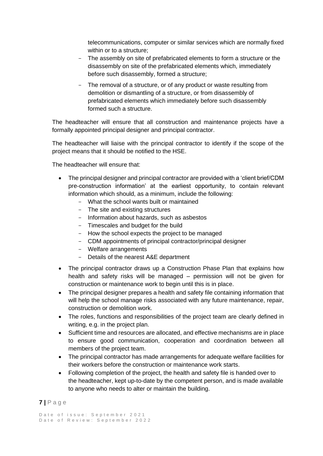telecommunications, computer or similar services which are normally fixed within or to a structure:

- The assembly on site of prefabricated elements to form a structure or the disassembly on site of the prefabricated elements which, immediately before such disassembly, formed a structure;
- The removal of a structure, or of any product or waste resulting from demolition or dismantling of a structure, or from disassembly of prefabricated elements which immediately before such disassembly formed such a structure.

The headteacher will ensure that all construction and maintenance projects have a formally appointed principal designer and principal contractor.

The headteacher will liaise with the principal contractor to identify if the scope of the project means that it should be notified to the HSE.

The headteacher will ensure that:

- The principal designer and principal contractor are provided with a 'client brief/CDM pre-construction information' at the earliest opportunity, to contain relevant information which should, as a minimum, include the following:
	- What the school wants built or maintained
	- The site and existing structures
	- Information about hazards, such as asbestos
	- Timescales and budget for the build
	- How the school expects the project to be managed
	- CDM appointments of principal contractor/principal designer
	- Welfare arrangements
	- Details of the nearest A&E department
- The principal contractor draws up a Construction Phase Plan that explains how health and safety risks will be managed – permission will not be given for construction or maintenance work to begin until this is in place.
- The principal designer prepares a health and safety file containing information that will help the school manage risks associated with any future maintenance, repair, construction or demolition work.
- The roles, functions and responsibilities of the project team are clearly defined in writing, e.g. in the project plan.
- Sufficient time and resources are allocated, and effective mechanisms are in place to ensure good communication, cooperation and coordination between all members of the project team.
- The principal contractor has made arrangements for adequate welfare facilities for their workers before the construction or maintenance work starts.
- Following completion of the project, the health and safety file is handed over to the headteacher, kept up-to-date by the competent person, and is made available to anyone who needs to alter or maintain the building.

# **7 |** P a g e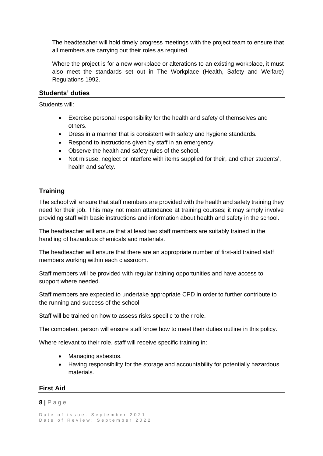The headteacher will hold timely progress meetings with the project team to ensure that all members are carrying out their roles as required.

Where the project is for a new workplace or alterations to an existing workplace, it must also meet the standards set out in The Workplace (Health, Safety and Welfare) Regulations 1992.

#### **Students' duties**

Students will:

- <span id="page-7-0"></span>• Exercise personal responsibility for the health and safety of themselves and others.
- Dress in a manner that is consistent with safety and hygiene standards.
- Respond to instructions given by staff in an emergency.
- Observe the health and safety rules of the school.
- Not misuse, neglect or interfere with items supplied for their, and other students', health and safety.

# **Training**

<span id="page-7-1"></span>The school will ensure that staff members are provided with the health and safety training they need for their job. This may not mean attendance at training courses; it may simply involve providing staff with basic instructions and information about health and safety in the school.

The headteacher will ensure that at least two staff members are suitably trained in the handling of hazardous chemicals and materials.

The headteacher will ensure that there are an appropriate number of first-aid trained staff members working within each classroom.

Staff members will be provided with regular training opportunities and have access to support where needed.

Staff members are expected to undertake appropriate CPD in order to further contribute to the running and success of the school.

Staff will be trained on how to assess risks specific to their role.

The competent person will ensure staff know how to meet their duties outline in this policy.

Where relevant to their role, staff will receive specific training in:

- Managing asbestos.
- Having responsibility for the storage and accountability for potentially hazardous materials.

# <span id="page-7-2"></span>**First Aid**

#### **8 |** P a g e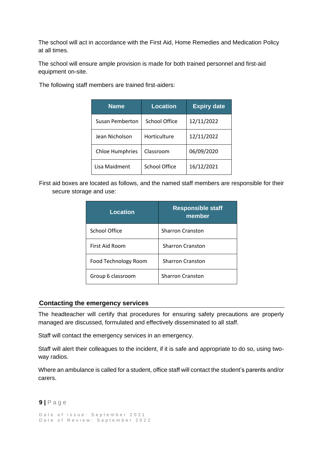The school will act in accordance with the First Aid, Home Remedies and Medication Policy at all times.

The school will ensure ample provision is made for both trained personnel and first-aid equipment on-site.

The following staff members are trained first-aiders:

| <b>Name</b>            | <b>Location</b>      | <b>Expiry date</b> |
|------------------------|----------------------|--------------------|
| Susan Pemberton        | School Office        | 12/11/2022         |
| Jean Nicholson         | Horticulture         | 12/11/2022         |
| <b>Chloe Humphries</b> | Classroom            | 06/09/2020         |
| Lisa Maidment          | <b>School Office</b> | 16/12/2021         |

First aid boxes are located as follows, and the named staff members are responsible for their secure storage and use:

| <b>Location</b>      | <b>Responsible staff</b><br>member |
|----------------------|------------------------------------|
| School Office        | <b>Sharron Cranston</b>            |
| First Aid Room       | <b>Sharron Cranston</b>            |
| Food Technology Room | <b>Sharron Cranston</b>            |
| Group 6 classroom    | <b>Sharron Cranston</b>            |

#### <span id="page-8-0"></span>**Contacting the emergency services**

The headteacher will certify that procedures for ensuring safety precautions are properly managed are discussed, formulated and effectively disseminated to all staff.

Staff will contact the emergency services in an emergency.

Staff will alert their colleagues to the incident, if it is safe and appropriate to do so, using twoway radios.

Where an ambulance is called for a student, office staff will contact the student's parents and/or carers.

#### **9 |** P a g e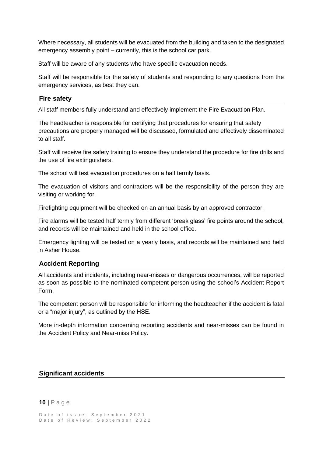Where necessary, all students will be evacuated from the building and taken to the designated emergency assembly point – currently, this is the school car park.

Staff will be aware of any students who have specific evacuation needs.

Staff will be responsible for the safety of students and responding to any questions from the emergency services, as best they can.

#### <span id="page-9-0"></span>**Fire safety**

All staff members fully understand and effectively implement the Fire Evacuation Plan.

The headteacher is responsible for certifying that procedures for ensuring that safety precautions are properly managed will be discussed, formulated and effectively disseminated to all staff.

Staff will receive fire safety training to ensure they understand the procedure for fire drills and the use of fire extinguishers.

The school will test evacuation procedures on a half termly basis.

The evacuation of visitors and contractors will be the responsibility of the person they are visiting or working for.

Firefighting equipment will be checked on an annual basis by an approved contractor.

Fire alarms will be tested half termly from different 'break glass' fire points around the school, and records will be maintained and held in the school office.

Emergency lighting will be tested on a yearly basis, and records will be maintained and held in Asher House.

#### **Accident Reporting**

<span id="page-9-1"></span>All accidents and incidents, including near-misses or dangerous occurrences, will be reported as soon as possible to the nominated competent person using the school's Accident Report Form.

The competent person will be responsible for informing the headteacher if the accident is fatal or a "major injury", as outlined by the HSE.

<span id="page-9-2"></span>More in-depth information concerning reporting accidents and near-misses can be found in the Accident Policy and Near-miss Policy.

#### **Significant accidents**

#### **10 |** P a g e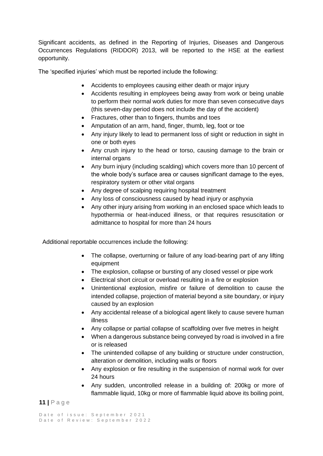Significant accidents, as defined in the Reporting of Injuries, Diseases and Dangerous Occurrences Regulations (RIDDOR) 2013, will be reported to the HSE at the earliest opportunity.

The 'specified injuries' which must be reported include the following:

- Accidents to employees causing either death or major injury
- Accidents resulting in employees being away from work or being unable to perform their normal work duties for more than seven consecutive days (this seven-day period does not include the day of the accident)
- Fractures, other than to fingers, thumbs and toes
- Amputation of an arm, hand, finger, thumb, leg, foot or toe
- Any injury likely to lead to permanent loss of sight or reduction in sight in one or both eyes
- Any crush injury to the head or torso, causing damage to the brain or internal organs
- Any burn injury (including scalding) which covers more than 10 percent of the whole body's surface area or causes significant damage to the eyes, respiratory system or other vital organs
- Any degree of scalping requiring hospital treatment
- Any loss of consciousness caused by head injury or asphyxia
- Any other injury arising from working in an enclosed space which leads to hypothermia or heat-induced illness, or that requires resuscitation or admittance to hospital for more than 24 hours

Additional reportable occurrences include the following:

- The collapse, overturning or failure of any load-bearing part of any lifting equipment
- The explosion, collapse or bursting of any closed vessel or pipe work
- Electrical short circuit or overload resulting in a fire or explosion
- Unintentional explosion, misfire or failure of demolition to cause the intended collapse, projection of material beyond a site boundary, or injury caused by an explosion
- Any accidental release of a biological agent likely to cause severe human illness
- Any collapse or partial collapse of scaffolding over five metres in height
- When a dangerous substance being conveved by road is involved in a fire or is released
- The unintended collapse of any building or structure under construction, alteration or demolition, including walls or floors
- Any explosion or fire resulting in the suspension of normal work for over 24 hours
- Any sudden, uncontrolled release in a building of: 200kg or more of flammable liquid, 10kg or more of flammable liquid above its boiling point,

# **11 |** P a g e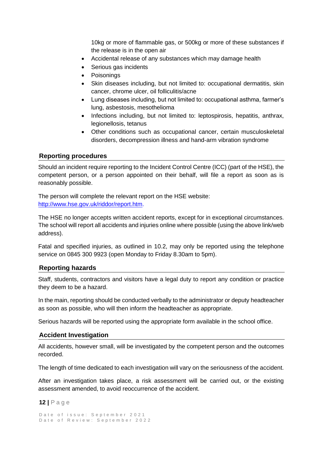10kg or more of flammable gas, or 500kg or more of these substances if the release is in the open air

- Accidental release of any substances which may damage health
- Serious gas incidents
- Poisonings
- Skin diseases including, but not limited to: occupational dermatitis, skin cancer, chrome ulcer, oil folliculitis/acne
- Lung diseases including, but not limited to: occupational asthma, farmer's lung, asbestosis, mesothelioma
- Infections including, but not limited to: leptospirosis, hepatitis, anthrax, legionellosis, tetanus
- <span id="page-11-0"></span>• Other conditions such as occupational cancer, certain musculoskeletal disorders, decompression illness and hand-arm vibration syndrome

#### **Reporting procedures**

Should an incident require reporting to the Incident Control Centre (ICC) (part of the HSE), the competent person, or a person appointed on their behalf, will file a report as soon as is reasonably possible.

The person will complete the relevant report on the HSE website: [http://www.hse.gov.uk/riddor/report.htm.](http://www.hse.gov.uk/riddor/report.htm)

The HSE no longer accepts written accident reports, except for in exceptional circumstances. The school will report all accidents and injuries online where possible (using the above link/web address).

Fatal and specified injuries, as outlined in 10.2, may only be reported using the telephone service on 0845 300 9923 (open Monday to Friday 8.30am to 5pm).

#### **Reporting hazards**

<span id="page-11-1"></span>Staff, students, contractors and visitors have a legal duty to report any condition or practice they deem to be a hazard.

In the main, reporting should be conducted verbally to the administrator or deputy headteacher as soon as possible, who will then inform the headteacher as appropriate.

Serious hazards will be reported using the appropriate form available in the school office.

#### **Accident Investigation**

<span id="page-11-2"></span>All accidents, however small, will be investigated by the competent person and the outcomes recorded.

The length of time dedicated to each investigation will vary on the seriousness of the accident.

After an investigation takes place, a risk assessment will be carried out, or the existing assessment amended, to avoid reoccurrence of the accident.

#### **12 |** P a g e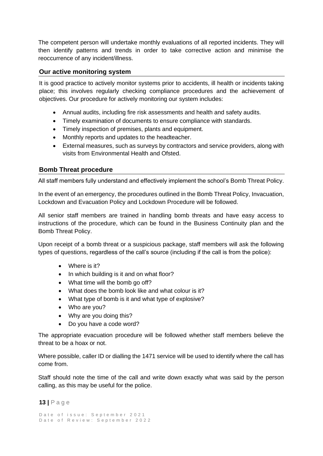The competent person will undertake monthly evaluations of all reported incidents. They will then identify patterns and trends in order to take corrective action and minimise the reoccurrence of any incident/illness.

#### **Our active monitoring system**

<span id="page-12-0"></span>It is good practice to actively monitor systems prior to accidents, ill health or incidents taking place; this involves regularly checking compliance procedures and the achievement of objectives. Our procedure for actively monitoring our system includes:

- Annual audits, including fire risk assessments and health and safety audits.
- Timely examination of documents to ensure compliance with standards.
- Timely inspection of premises, plants and equipment.
- Monthly reports and updates to the headteacher.
- External measures, such as surveys by contractors and service providers, along with visits from Environmental Health and Ofsted.

#### **Bomb Threat procedure**

<span id="page-12-1"></span>All staff members fully understand and effectively implement the school's Bomb Threat Policy.

In the event of an emergency, the procedures outlined in the Bomb Threat Policy, Invacuation, Lockdown and Evacuation Policy and Lockdown Procedure will be followed.

All senior staff members are trained in handling bomb threats and have easy access to instructions of the procedure, which can be found in the Business Continuity plan and the Bomb Threat Policy.

Upon receipt of a bomb threat or a suspicious package, staff members will ask the following types of questions, regardless of the call's source (including if the call is from the police):

- Where is it?
- In which building is it and on what floor?
- What time will the bomb go off?
- What does the bomb look like and what colour is it?
- What type of bomb is it and what type of explosive?
- Who are you?
- Why are you doing this?
- Do you have a code word?

The appropriate evacuation procedure will be followed whether staff members believe the threat to be a hoax or not.

Where possible, caller ID or dialling the 1471 service will be used to identify where the call has come from.

Staff should note the time of the call and write down exactly what was said by the person calling, as this may be useful for the police.

**13 |** P a g e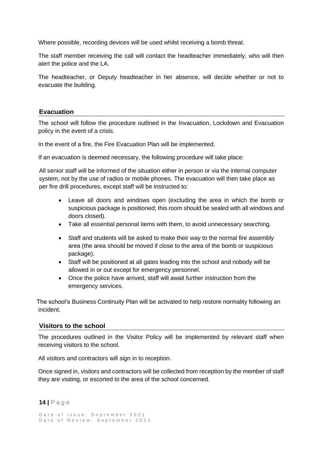Where possible, recording devices will be used whilst receiving a bomb threat.

The staff member receiving the call will contact the headteacher immediately, who will then alert the police and the LA.

The headteacher, or Deputy headteacher in her absence, will decide whether or not to evacuate the building.

#### **Evacuation**

<span id="page-13-0"></span>The school will follow the procedure outlined in the Invacuation, Lockdown and Evacuation policy in the event of a crisis.

In the event of a fire, the Fire Evacuation Plan will be implemented.

If an evacuation is deemed necessary, the following procedure will take place:

All senior staff will be informed of the situation either in person or via the internal computer system, not by the use of radios or mobile phones. The evacuation will then take place as per fire drill procedures, except staff will be instructed to:

- Leave all doors and windows open (excluding the area in which the bomb or suspicious package is positioned; this room should be sealed with all windows and doors closed).
- Take all essential personal items with them, to avoid unnecessary searching.
- Staff and students will be asked to make their way to the normal fire assembly area (the area should be moved if close to the area of the bomb or suspicious package).
- Staff will be positioned at all gates leading into the school and nobody will be allowed in or out except for emergency personnel.
- Once the police have arrived, staff will await further instruction from the emergency services.

The school's Business Continuity Plan will be activated to help restore normality following an incident.

#### **Visitors to the school**

<span id="page-13-1"></span>The procedures outlined in the Visitor Policy will be implemented by relevant staff when receiving visitors to the school.

All visitors and contractors will sign in to reception.

Once signed in, visitors and contractors will be collected from reception by the member of staff they are visiting, or escorted to the area of the school concerned.

**14 |** P a g e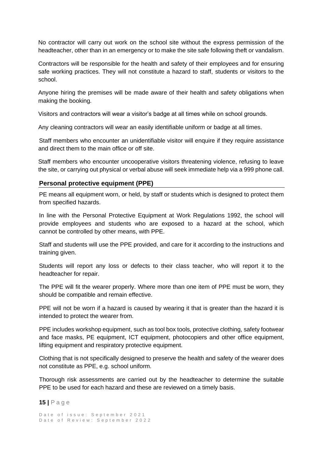No contractor will carry out work on the school site without the express permission of the headteacher, other than in an emergency or to make the site safe following theft or vandalism.

Contractors will be responsible for the health and safety of their employees and for ensuring safe working practices. They will not constitute a hazard to staff, students or visitors to the school.

Anyone hiring the premises will be made aware of their health and safety obligations when making the booking.

Visitors and contractors will wear a visitor's badge at all times while on school grounds.

Any cleaning contractors will wear an easily identifiable uniform or badge at all times.

Staff members who encounter an unidentifiable visitor will enquire if they require assistance and direct them to the main office or off site.

Staff members who encounter uncooperative visitors threatening violence, refusing to leave the site, or carrying out physical or verbal abuse will seek immediate help via a 999 phone call.

#### <span id="page-14-0"></span>**Personal protective equipment (PPE)**

PE means all equipment worn, or held, by staff or students which is designed to protect them from specified hazards.

In line with the Personal Protective Equipment at Work Regulations 1992, the school will provide employees and students who are exposed to a hazard at the school, which cannot be controlled by other means, with PPE.

Staff and students will use the PPE provided, and care for it according to the instructions and training given.

Students will report any loss or defects to their class teacher, who will report it to the headteacher for repair.

The PPE will fit the wearer properly. Where more than one item of PPE must be worn, they should be compatible and remain effective.

PPE will not be worn if a hazard is caused by wearing it that is greater than the hazard it is intended to protect the wearer from.

PPE includes workshop equipment, such as tool box tools, protective clothing, safety footwear and face masks, PE equipment, ICT equipment, photocopiers and other office equipment, lifting equipment and respiratory protective equipment.

Clothing that is not specifically designed to preserve the health and safety of the wearer does not constitute as PPE, e.g. school uniform.

Thorough risk assessments are carried out by the headteacher to determine the suitable PPE to be used for each hazard and these are reviewed on a timely basis.

**15 |** P a g e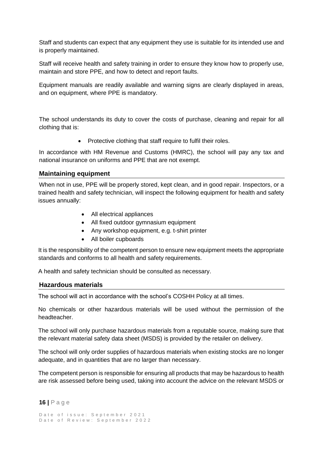Staff and students can expect that any equipment they use is suitable for its intended use and is properly maintained.

Staff will receive health and safety training in order to ensure they know how to properly use, maintain and store PPE, and how to detect and report faults.

Equipment manuals are readily available and warning signs are clearly displayed in areas, and on equipment, where PPE is mandatory.

The school understands its duty to cover the costs of purchase, cleaning and repair for all clothing that is:

• Protective clothing that staff require to fulfil their roles.

In accordance with HM Revenue and Customs (HMRC), the school will pay any tax and national insurance on uniforms and PPE that are not exempt.

#### **Maintaining equipment**

<span id="page-15-0"></span>When not in use, PPE will be properly stored, kept clean, and in good repair. Inspectors, or a trained health and safety technician, will inspect the following equipment for health and safety issues annually:

- All electrical appliances
- All fixed outdoor gymnasium equipment
- Any workshop equipment, e.g. t-shirt printer
- All boiler cupboards

It is the responsibility of the competent person to ensure new equipment meets the appropriate standards and conforms to all health and safety requirements.

A health and safety technician should be consulted as necessary.

#### **Hazardous materials**

<span id="page-15-1"></span>The school will act in accordance with the school's COSHH Policy at all times.

No chemicals or other hazardous materials will be used without the permission of the headteacher.

The school will only purchase hazardous materials from a reputable source, making sure that the relevant material safety data sheet (MSDS) is provided by the retailer on delivery.

The school will only order supplies of hazardous materials when existing stocks are no longer adequate, and in quantities that are no larger than necessary.

The competent person is responsible for ensuring all products that may be hazardous to health are risk assessed before being used, taking into account the advice on the relevant MSDS or

**16 |** P a g e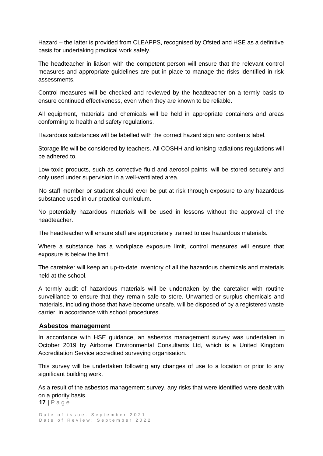Hazard – the latter is provided from CLEAPPS, recognised by Ofsted and HSE as a definitive basis for undertaking practical work safely.

The headteacher in liaison with the competent person will ensure that the relevant control measures and appropriate guidelines are put in place to manage the risks identified in risk assessments.

Control measures will be checked and reviewed by the headteacher on a termly basis to ensure continued effectiveness, even when they are known to be reliable.

All equipment, materials and chemicals will be held in appropriate containers and areas conforming to health and safety regulations.

Hazardous substances will be labelled with the correct hazard sign and contents label.

Storage life will be considered by teachers. All COSHH and ionising radiations regulations will be adhered to.

Low-toxic products, such as corrective fluid and aerosol paints, will be stored securely and only used under supervision in a well-ventilated area.

No staff member or student should ever be put at risk through exposure to any hazardous substance used in our practical curriculum.

No potentially hazardous materials will be used in lessons without the approval of the headteacher.

The headteacher will ensure staff are appropriately trained to use hazardous materials.

Where a substance has a workplace exposure limit, control measures will ensure that exposure is below the limit.

The caretaker will keep an up-to-date inventory of all the hazardous chemicals and materials held at the school.

A termly audit of hazardous materials will be undertaken by the caretaker with routine surveillance to ensure that they remain safe to store. Unwanted or surplus chemicals and materials, including those that have become unsafe, will be disposed of by a registered waste carrier, in accordance with school procedures.

#### **Asbestos management**

<span id="page-16-0"></span>In accordance with HSE guidance, an asbestos management survey was undertaken in October 2019 by Airborne Environmental Consultants Ltd, which is a United Kingdom Accreditation Service accredited surveying organisation.

This survey will be undertaken following any changes of use to a location or prior to any significant building work.

**17 |** P a g e As a result of the asbestos management survey, any risks that were identified were dealt with on a priority basis.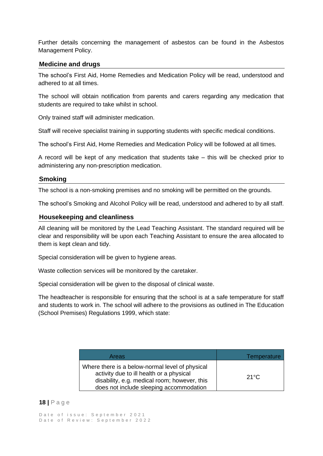Further details concerning the management of asbestos can be found in the Asbestos Management Policy.

#### **Medicine and drugs**

<span id="page-17-0"></span>The school's First Aid, Home Remedies and Medication Policy will be read, understood and adhered to at all times.

The school will obtain notification from parents and carers regarding any medication that students are required to take whilst in school.

Only trained staff will administer medication.

Staff will receive specialist training in supporting students with specific medical conditions.

The school's First Aid, Home Remedies and Medication Policy will be followed at all times.

A record will be kept of any medication that students take – this will be checked prior to administering any non-prescription medication.

#### **Smoking**

<span id="page-17-1"></span>The school is a non-smoking premises and no smoking will be permitted on the grounds.

The school's Smoking and Alcohol Policy will be read, understood and adhered to by all staff.

#### **Housekeeping and cleanliness**

<span id="page-17-2"></span>All cleaning will be monitored by the Lead Teaching Assistant. The standard required will be clear and responsibility will be upon each Teaching Assistant to ensure the area allocated to them is kept clean and tidy.

Special consideration will be given to hygiene areas.

Waste collection services will be monitored by the caretaker.

Special consideration will be given to the disposal of clinical waste.

The headteacher is responsible for ensuring that the school is at a safe temperature for staff and students to work in. The school will adhere to the provisions as outlined in The Education (School Premises) Regulations 1999, which state:

| Areas                                                                                                                                                                                  | Temperature    |
|----------------------------------------------------------------------------------------------------------------------------------------------------------------------------------------|----------------|
| Where there is a below-normal level of physical<br>activity due to ill health or a physical<br>disability, e.g. medical room; however, this<br>does not include sleeping accommodation | 21 $\degree$ C |

#### **18 |** P a g e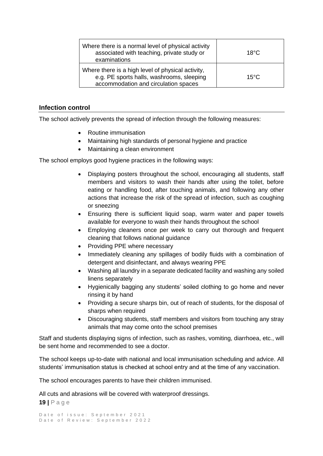| Where there is a normal level of physical activity<br>associated with teaching, private study or<br>examinations                       | $18^{\circ}$ C |
|----------------------------------------------------------------------------------------------------------------------------------------|----------------|
| Where there is a high level of physical activity,<br>e.g. PE sports halls, washrooms, sleeping<br>accommodation and circulation spaces | $15^{\circ}$ C |

#### **Infection control**

<span id="page-18-0"></span>The school actively prevents the spread of infection through the following measures:

- Routine immunisation
- Maintaining high standards of personal hygiene and practice
- Maintaining a clean environment

The school employs good hygiene practices in the following ways:

- Displaying posters throughout the school, encouraging all students, staff members and visitors to wash their hands after using the toilet, before eating or handling food, after touching animals, and following any other actions that increase the risk of the spread of infection, such as coughing or sneezing
- Ensuring there is sufficient liquid soap, warm water and paper towels available for everyone to wash their hands throughout the school
- Employing cleaners once per week to carry out thorough and frequent cleaning that follows national guidance
- Providing PPE where necessary
- Immediately cleaning any spillages of bodily fluids with a combination of detergent and disinfectant, and always wearing PPE
- Washing all laundry in a separate dedicated facility and washing any soiled linens separately
- Hygienically bagging any students' soiled clothing to go home and never rinsing it by hand
- Providing a secure sharps bin, out of reach of students, for the disposal of sharps when required
- Discouraging students, staff members and visitors from touching any stray animals that may come onto the school premises

Staff and students displaying signs of infection, such as rashes, vomiting, diarrhoea, etc., will be sent home and recommended to see a doctor.

The school keeps up-to-date with national and local immunisation scheduling and advice. All students' immunisation status is checked at school entry and at the time of any vaccination.

The school encourages parents to have their children immunised.

**19 |** P a g e All cuts and abrasions will be covered with waterproof dressings.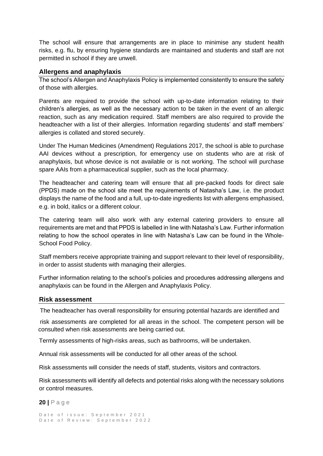The school will ensure that arrangements are in place to minimise any student health risks, e.g. flu, by ensuring hygiene standards are maintained and students and staff are not permitted in school if they are unwell.

#### **Allergens and anaphylaxis**

The school's Allergen and Anaphylaxis Policy is implemented consistently to ensure the safety of those with allergies.

Parents are required to provide the school with up-to-date information relating to their children's allergies, as well as the necessary action to be taken in the event of an allergic reaction, such as any medication required. Staff members are also required to provide the headteacher with a list of their allergies. Information regarding students' and staff members' allergies is collated and stored securely.

Under The Human Medicines (Amendment) Regulations 2017, the school is able to purchase AAI devices without a prescription, for emergency use on students who are at risk of anaphylaxis, but whose device is not available or is not working. The school will purchase spare AAIs from a pharmaceutical supplier, such as the local pharmacy.

The headteacher and catering team will ensure that all pre-packed foods for direct sale (PPDS) made on the school site meet the requirements of Natasha's Law, i.e. the product displays the name of the food and a full, up-to-date ingredients list with allergens emphasised, e.g. in bold, italics or a different colour.

The catering team will also work with any external catering providers to ensure all requirements are met and that PPDS is labelled in line with Natasha's Law. Further information relating to how the school operates in line with Natasha's Law can be found in the Whole-School Food Policy.

Staff members receive appropriate training and support relevant to their level of responsibility, in order to assist students with managing their allergies.

Further information relating to the school's policies and procedures addressing allergens and anaphylaxis can be found in the Allergen and Anaphylaxis Policy.

#### **Risk assessment**

<span id="page-19-0"></span>The headteacher has overall responsibility for ensuring potential hazards are identified and

 risk assessments are completed for all areas in the school. The competent person will be consulted when risk assessments are being carried out.

Termly assessments of high-risks areas, such as bathrooms, will be undertaken.

Annual risk assessments will be conducted for all other areas of the school.

Risk assessments will consider the needs of staff, students, visitors and contractors.

Risk assessments will identify all defects and potential risks along with the necessary solutions or control measures.

#### **20 |** P a g e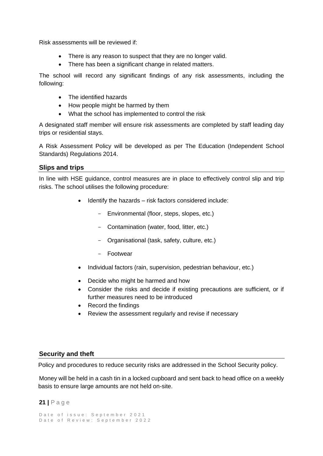Risk assessments will be reviewed if:

- There is any reason to suspect that they are no longer valid.
- There has been a significant change in related matters.

The school will record any significant findings of any risk assessments, including the following:

- The identified hazards
- How people might be harmed by them
- What the school has implemented to control the risk

A designated staff member will ensure risk assessments are completed by staff leading day trips or residential stays.

A Risk Assessment Policy will be developed as per The Education (Independent School Standards) Regulations 2014.

#### **Slips and trips**

<span id="page-20-0"></span>In line with HSE guidance, control measures are in place to effectively control slip and trip risks. The school utilises the following procedure:

- Identify the hazards risk factors considered include:
	- Environmental (floor, steps, slopes, etc.)
	- Contamination (water, food, litter, etc.)
	- Organisational (task, safety, culture, etc.)
	- Footwear
- Individual factors (rain, supervision, pedestrian behaviour, etc.)
- Decide who might be harmed and how
- Consider the risks and decide if existing precautions are sufficient, or if further measures need to be introduced
- Record the findings
- Review the assessment regularly and revise if necessary

# <span id="page-20-1"></span>**Security and theft**

Policy and procedures to reduce security risks are addressed in the School Security policy.

Money will be held in a cash tin in a locked cupboard and sent back to head office on a weekly basis to ensure large amounts are not held on-site.

#### **21 |** P a g e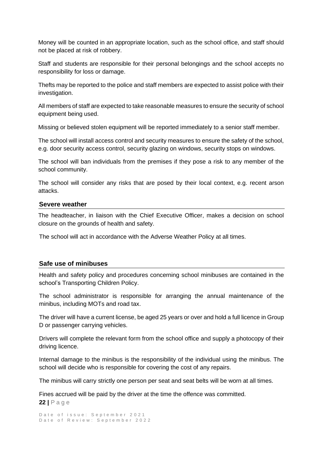Money will be counted in an appropriate location, such as the school office, and staff should not be placed at risk of robbery.

Staff and students are responsible for their personal belongings and the school accepts no responsibility for loss or damage.

Thefts may be reported to the police and staff members are expected to assist police with their investigation.

All members of staff are expected to take reasonable measures to ensure the security of school equipment being used.

Missing or believed stolen equipment will be reported immediately to a senior staff member.

The school will install access control and security measures to ensure the safety of the school, e.g. door security access control, security glazing on windows, security stops on windows.

The school will ban individuals from the premises if they pose a risk to any member of the school community.

The school will consider any risks that are posed by their local context, e.g. recent arson attacks.

#### **Severe weather**

<span id="page-21-0"></span>The headteacher, in liaison with the Chief Executive Officer, makes a decision on school closure on the grounds of health and safety.

The school will act in accordance with the Adverse Weather Policy at all times.

#### **Safe use of minibuses**

<span id="page-21-1"></span>Health and safety policy and procedures concerning school minibuses are contained in the school's Transporting Children Policy.

The school administrator is responsible for arranging the annual maintenance of the minibus, including MOTs and road tax.

The driver will have a current license, be aged 25 years or over and hold a full licence in Group D or passenger carrying vehicles.

Drivers will complete the relevant form from the school office and supply a photocopy of their driving licence.

Internal damage to the minibus is the responsibility of the individual using the minibus. The school will decide who is responsible for covering the cost of any repairs.

The minibus will carry strictly one person per seat and seat belts will be worn at all times.

**22 |** P a g e Fines accrued will be paid by the driver at the time the offence was committed.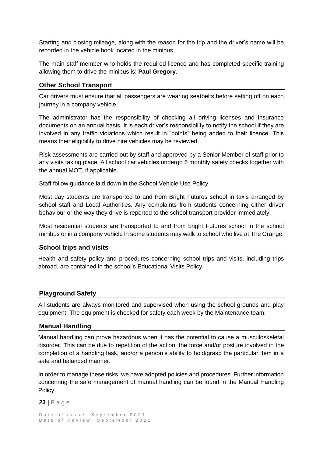Starting and closing mileage, along with the reason for the trip and the driver's name will be recorded in the vehicle book located in the minibus.

The main staff member who holds the required licence and has completed specific training allowing them to drive the minibus is: **Paul Gregory**.

#### **Other School Transport**

Car drivers must ensure that all passengers are wearing seatbelts before setting off on each journey in a company vehicle.

The administrator has the responsibility of checking all driving licenses and insurance documents on an annual basis. It is each driver's responsibility to notify the school if they are involved in any traffic violations which result in "points" being added to their licence. This means their eligibility to drive hire vehicles may be reviewed.

Risk assessments are carried out by staff and approved by a Senior Member of staff prior to any visits taking place. All school car vehicles undergo 6 monthly safety checks together with the annual MOT, if applicable.

Staff follow guidance laid down in the School Vehicle Use Policy.

Most day students are transported to and from Bright Futures school in taxis arranged by school staff and Local Authorities. Any complaints from students concerning either driver behaviour or the way they drive is reported to the school transport provider immediately.

Most residential students are transported to and from bright Futures school in the school minibus or in a company vehicle ln some students may walk to school who live at The Grange.

#### **School trips and visits**

<span id="page-22-0"></span>Health and safety policy and procedures concerning school trips and visits, including trips abroad, are contained in the school's Educational Visits Policy.

#### **Playground Safety**

All students are always monitored and supervised when using the school grounds and play equipment. The equipment is checked for safety each week by the Maintenance team.

#### **Manual Handling**

<span id="page-22-1"></span>Manual handling can prove hazardous when it has the potential to cause a musculoskeletal disorder. This can be due to repetition of the action, the force and/or posture involved in the completion of a handling task, and/or a person's ability to hold/grasp the particular item in a safe and balanced manner.

In order to manage these risks, we have adopted policies and procedures. Further information concerning the safe management of manual handling can be found in the Manual Handling Policy.

```
23 | P a g e
```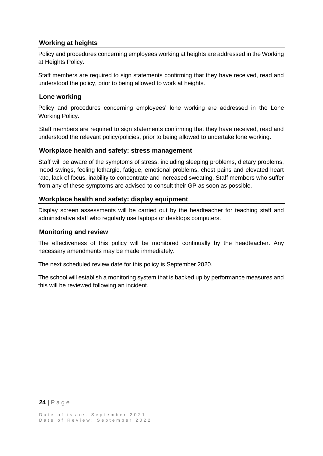# **Working at heights**

<span id="page-23-0"></span>Policy and procedures concerning employees working at heights are addressed in the Working at Heights Policy.

Staff members are required to sign statements confirming that they have received, read and understood the policy, prior to being allowed to work at heights.

#### **Lone working**

<span id="page-23-1"></span>Policy and procedures concerning employees' lone working are addressed in the Lone Working Policy.

Staff members are required to sign statements confirming that they have received, read and understood the relevant policy/policies, prior to being allowed to undertake lone working.

#### **Workplace health and safety: stress management**

Staff will be aware of the symptoms of stress, including sleeping problems, dietary problems, mood swings, feeling lethargic, fatigue, emotional problems, chest pains and elevated heart rate, lack of focus, inability to concentrate and increased sweating. Staff members who suffer from any of these symptoms are advised to consult their GP as soon as possible.

#### <span id="page-23-2"></span>**Workplace health and safety: display equipment**

Display screen assessments will be carried out by the headteacher for teaching staff and administrative staff who regularly use laptops or desktops computers.

#### **Monitoring and review**

<span id="page-23-3"></span>The effectiveness of this policy will be monitored continually by the headteacher. Any necessary amendments may be made immediately.

The next scheduled review date for this policy is September 2020.

The school will establish a monitoring system that is backed up by performance measures and this will be reviewed following an incident.

# **24 |** P a g e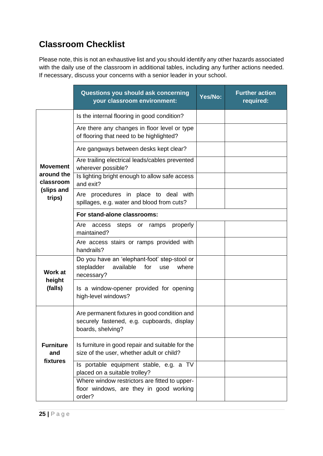# **Classroom Checklist**

Please note, this is not an exhaustive list and you should identify any other hazards associated with the daily use of the classroom in additional tables, including any further actions needed. If necessary, discuss your concerns with a senior leader in your school.

|                                     | Questions you should ask concerning<br>your classroom environment:                                              | Yes/No: | <b>Further action</b><br>required: |
|-------------------------------------|-----------------------------------------------------------------------------------------------------------------|---------|------------------------------------|
|                                     | Is the internal flooring in good condition?                                                                     |         |                                    |
|                                     | Are there any changes in floor level or type<br>of flooring that need to be highlighted?                        |         |                                    |
|                                     | Are gangways between desks kept clear?                                                                          |         |                                    |
| <b>Movement</b>                     | Are trailing electrical leads/cables prevented<br>wherever possible?                                            |         |                                    |
| around the<br>classroom             | Is lighting bright enough to allow safe access<br>and exit?                                                     |         |                                    |
| (slips and<br>trips)                | Are procedures in place to deal with<br>spillages, e.g. water and blood from cuts?                              |         |                                    |
|                                     | For stand-alone classrooms:                                                                                     |         |                                    |
|                                     | Are<br>properly<br>access<br>steps or ramps<br>maintained?                                                      |         |                                    |
|                                     | Are access stairs or ramps provided with<br>handrails?                                                          |         |                                    |
| <b>Work at</b><br>height<br>(falls) | Do you have an 'elephant-foot' step-stool or<br>available<br>stepladder<br>for<br>where<br>use<br>necessary?    |         |                                    |
|                                     | Is a window-opener provided for opening<br>high-level windows?                                                  |         |                                    |
| <b>Furniture</b><br>and<br>fixtures | Are permanent fixtures in good condition and<br>securely fastened, e.g. cupboards, display<br>boards, shelving? |         |                                    |
|                                     | Is furniture in good repair and suitable for the<br>size of the user, whether adult or child?                   |         |                                    |
|                                     | Is portable equipment stable, e.g. a TV<br>placed on a suitable trolley?                                        |         |                                    |
|                                     | Where window restrictors are fitted to upper-<br>floor windows, are they in good working<br>order?              |         |                                    |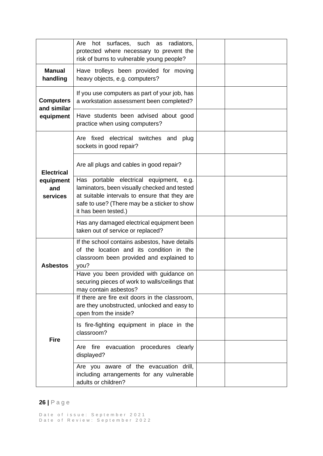|                                              | hot surfaces, such as radiators,<br>Are<br>protected where necessary to prevent the<br>risk of burns to vulnerable young people?                                                                                 |  |
|----------------------------------------------|------------------------------------------------------------------------------------------------------------------------------------------------------------------------------------------------------------------|--|
| <b>Manual</b><br>handling                    | Have trolleys been provided for moving<br>heavy objects, e.g. computers?                                                                                                                                         |  |
| <b>Computers</b><br>and similar<br>equipment | If you use computers as part of your job, has<br>a workstation assessment been completed?                                                                                                                        |  |
|                                              | Have students been advised about good<br>practice when using computers?                                                                                                                                          |  |
|                                              | Are fixed electrical switches and<br>plug<br>sockets in good repair?                                                                                                                                             |  |
| <b>Electrical</b>                            | Are all plugs and cables in good repair?                                                                                                                                                                         |  |
| equipment<br>and<br>services                 | Has portable electrical equipment, e.g.<br>laminators, been visually checked and tested<br>at suitable intervals to ensure that they are<br>safe to use? (There may be a sticker to show<br>it has been tested.) |  |
|                                              | Has any damaged electrical equipment been<br>taken out of service or replaced?                                                                                                                                   |  |
| <b>Asbestos</b>                              | If the school contains asbestos, have details<br>of the location and its condition in the<br>classroom been provided and explained to<br>you?                                                                    |  |
|                                              | Have you been provided with guidance on<br>securing pieces of work to walls/ceilings that<br>may contain asbestos?                                                                                               |  |
| <b>Fire</b>                                  | If there are fire exit doors in the classroom,<br>are they unobstructed, unlocked and easy to<br>open from the inside?                                                                                           |  |
|                                              | Is fire-fighting equipment in place in the<br>classroom?                                                                                                                                                         |  |
|                                              | Are fire evacuation procedures clearly<br>displayed?                                                                                                                                                             |  |
|                                              | Are you aware of the evacuation drill,<br>including arrangements for any vulnerable<br>adults or children?                                                                                                       |  |

# **26 |** P a g e